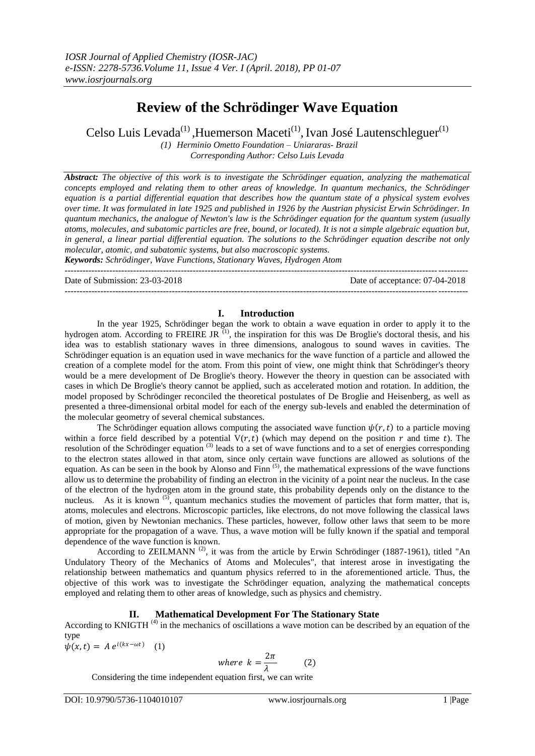# **Review of the Schrödinger Wave Equation**

Celso Luis Levada<sup>(1)</sup>, Huemerson Maceti<sup>(1)</sup>, Ivan José Lautenschleguer<sup>(1)</sup>

*(1) Herminio Ometto Foundation – Uniararas- Brazil Corresponding Author: Celso Luis Levada*

*Abstract: The objective of this work is to investigate the Schrödinger equation, analyzing the mathematical concepts employed and relating them to other areas of knowledge. In quantum mechanics, the Schrödinger equation is a partial differential equation that describes how the quantum state of a physical system evolves over time. It was formulated in late 1925 and published in 1926 by the Austrian physicist Erwin Schrödinger. In quantum mechanics, the analogue of Newton's law is the Schrödinger equation for the quantum system (usually atoms, molecules, and subatomic particles are free, bound, or located). It is not a simple algebraic equation but, in general, a linear partial differential equation. The solutions to the Schrödinger equation describe not only molecular, atomic, and subatomic systems, but also macroscopic systems.*

*Keywords: Schrödinger, Wave Functions, Stationary Waves, Hydrogen Atom* ---------------------------------------------------------------------------------------------------------------------------------------

Date of Submission: 23-03-2018 Date of acceptance: 07-04-2018

### **I. Introduction**

---------------------------------------------------------------------------------------------------------------------------------------

In the year 1925, Schrödinger began the work to obtain a wave equation in order to apply it to the hydrogen atom. According to FREIRE JR  $^{(1)}$ , the inspiration for this was De Broglie's doctoral thesis, and his idea was to establish stationary waves in three dimensions, analogous to sound waves in cavities. The Schrödinger equation is an equation used in wave mechanics for the wave function of a particle and allowed the creation of a complete model for the atom. From this point of view, one might think that Schrödinger's theory would be a mere development of De Broglie's theory. However the theory in question can be associated with cases in which De Broglie's theory cannot be applied, such as accelerated motion and rotation. In addition, the model proposed by Schrödinger reconciled the theoretical postulates of De Broglie and Heisenberg, as well as presented a three-dimensional orbital model for each of the energy sub-levels and enabled the determination of the molecular geometry of several chemical substances.

The Schrödinger equation allows computing the associated wave function  $\psi(r, t)$  to a particle moving within a force field described by a potential  $V(r,t)$  (which may depend on the position r and time t). The resolution of the Schrödinger equation  $(3)$  leads to a set of wave functions and to a set of energies corresponding to the electron states allowed in that atom, since only certain wave functions are allowed as solutions of the equation. As can be seen in the book by Alonso and Finn <sup>(5)</sup>, the mathematical expressions of the wave functions allow us to determine the probability of finding an electron in the vicinity of a point near the nucleus. In the case of the electron of the hydrogen atom in the ground state, this probability depends only on the distance to the nucleus. As it is known  $(5)$ , quantum mechanics studies the movement of particles that form matter, that is, atoms, molecules and electrons. Microscopic particles, like electrons, do not move following the classical laws of motion, given by Newtonian mechanics. These particles, however, follow other laws that seem to be more appropriate for the propagation of a wave. Thus, a wave motion will be fully known if the spatial and temporal dependence of the wave function is known.

According to ZEILMANN<sup>(2)</sup>, it was from the article by Erwin Schrödinger (1887-1961), titled "An Undulatory Theory of the Mechanics of Atoms and Molecules", that interest arose in investigating the relationship between mathematics and quantum physics referred to in the aforementioned article. Thus, the objective of this work was to investigate the Schrödinger equation, analyzing the mathematical concepts employed and relating them to other areas of knowledge, such as physics and chemistry.

## **II. Mathematical Development For The Stationary State**

According to KNIGTH (4) in the mechanics of oscillations a wave motion can be described by an equation of the type

 $\psi(x,t) = A e^{i(kx - \omega t)}$ (1)

where 
$$
k = \frac{2\pi}{\lambda}
$$
 (2)

Considering the time independent equation first, we can write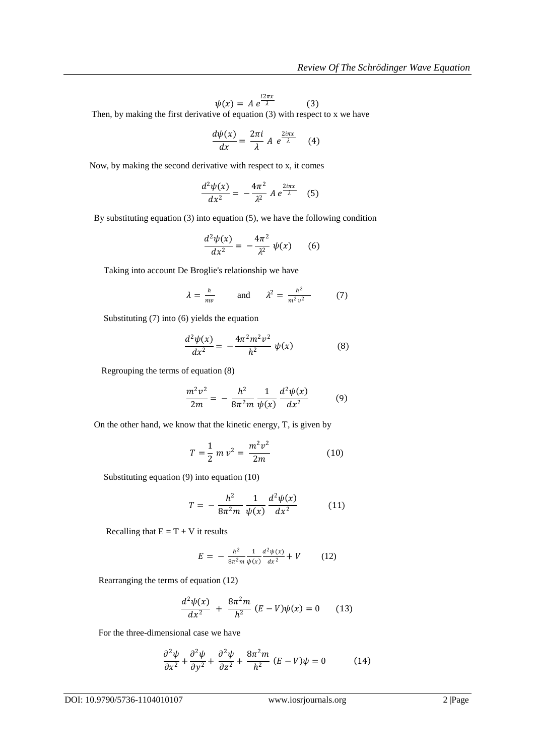$$
\psi(x) = A e^{\frac{i2\pi x}{\lambda}} \tag{3}
$$

Then, by making the first derivative of equation (3) with respect to x we have

$$
\frac{d\psi(x)}{dx} = \frac{2\pi i}{\lambda} A e^{\frac{2i\pi x}{\lambda}} \quad (4)
$$

Now, by making the second derivative with respect to x, it comes

$$
\frac{d^2\psi(x)}{dx^2} = -\frac{4\pi^2}{\lambda^2} A e^{\frac{2i\pi x}{\lambda}} \quad (5)
$$

By substituting equation (3) into equation (5), we have the following condition

$$
\frac{d^2\psi(x)}{dx^2} = -\frac{4\pi^2}{\lambda^2}\,\psi(x) \qquad (6)
$$

Taking into account De Broglie's relationship we have

$$
\lambda = \frac{h}{mv} \quad \text{and} \quad \lambda^2 = \frac{h^2}{m^2 v^2} \quad (7)
$$

Substituting (7) into (6) yields the equation

$$
\frac{d^2\psi(x)}{dx^2} = -\frac{4\pi^2 m^2 v^2}{h^2} \psi(x)
$$
 (8)

Regrouping the terms of equation (8)

$$
\frac{m^2v^2}{2m} = -\frac{h^2}{8\pi^2m}\frac{1}{\psi(x)}\frac{d^2\psi(x)}{dx^2}
$$
(9)

On the other hand, we know that the kinetic energy, T, is given by

$$
T = \frac{1}{2} m v^2 = \frac{m^2 v^2}{2m}
$$
 (10)

Substituting equation (9) into equation (10)

$$
T = -\frac{h^2}{8\pi^2 m} \frac{1}{\psi(x)} \frac{d^2 \psi(x)}{dx^2}
$$
 (11)

Recalling that  $E = T + V$  it results

$$
E = -\frac{h^2}{8\pi^2 m} \frac{1}{\psi(x)} \frac{d^2 \psi(x)}{dx^2} + V \tag{12}
$$

Rearranging the terms of equation (12)

$$
\frac{d^2\psi(x)}{dx^2} + \frac{8\pi^2 m}{h^2} (E - V)\psi(x) = 0
$$
 (13)

For the three-dimensional case we have

$$
\frac{\partial^2 \psi}{\partial x^2} + \frac{\partial^2 \psi}{\partial y^2} + \frac{\partial^2 \psi}{\partial z^2} + \frac{8\pi^2 m}{h^2} (E - V)\psi = 0
$$
 (14)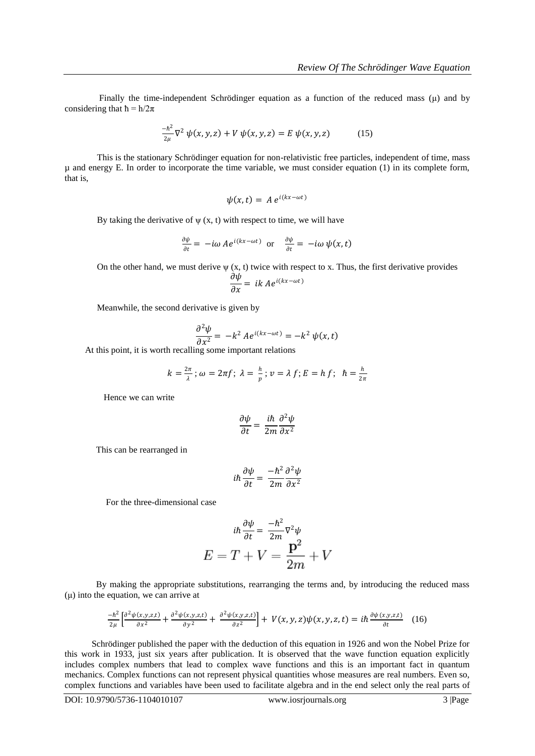Finally the time-independent Schrödinger equation as a function of the reduced mass  $(\mu)$  and by considering that  $\hbar = h/2\pi$ 

$$
\frac{-\hbar^2}{2\mu}\nabla^2\,\psi(x,y,z) + V\,\psi(x,y,z) = E\,\psi(x,y,z) \tag{15}
$$

 This is the stationary Schrödinger equation for non-relativistic free particles, independent of time, mass µ and energy E. In order to incorporate the time variable, we must consider equation (1) in its complete form, that is,

$$
\psi(x,t) = A e^{i(kx - \omega t)}
$$

By taking the derivative of  $\psi$  (x, t) with respect to time, we will have

$$
\frac{\partial \psi}{\partial t} = -i\omega A e^{i(kx - \omega t)} \text{ or } \frac{\partial \psi}{\partial t} = -i\omega \psi(x, t)
$$

On the other hand, we must derive  $\psi$  (x, t) twice with respect to x. Thus, the first derivative provides

$$
\frac{\partial \psi}{\partial x} = ik \, A e^{i(kx - \omega t)}
$$

Meanwhile, the second derivative is given by

$$
\frac{\partial^2 \psi}{\partial x^2} = -k^2 A e^{i(kx - \omega t)} = -k^2 \psi(x, t)
$$

At this point, it is worth recalling some important relations

$$
k=\frac{2\pi}{\lambda};\,\omega=2\pi f;\,\lambda=\frac{h}{p};\,v=\lambda\,f;\,E=h\,f;\ \ \hbar=\frac{h}{2\pi}
$$

Hence we can write

$$
\frac{\partial \psi}{\partial t} = \frac{i\hbar}{2m} \frac{\partial^2 \psi}{\partial x^2}
$$

This can be rearranged in

$$
i\hbar \frac{\partial \psi}{\partial t} = \frac{-\hbar^2}{2m} \frac{\partial^2 \psi}{\partial x^2}
$$

For the three-dimensional case

$$
i\hbar \frac{\partial \psi}{\partial t} = \frac{-\hbar^2}{2m} \nabla^2 \psi
$$

$$
E = T + V = \frac{\mathbf{p}^2}{2m} + V
$$

 By making the appropriate substitutions, rearranging the terms and, by introducing the reduced mass (μ) into the equation, we can arrive at

$$
\frac{-\hbar^2}{2\mu} \left[ \frac{\partial^2 \psi(x,y,z,t)}{\partial x^2} + \frac{\partial^2 \psi(x,y,z,t)}{\partial y^2} + \frac{\partial^2 \psi(x,y,z,t)}{\partial z^2} \right] + V(x,y,z)\psi(x,y,z,t) = i\hbar \frac{\partial \psi(x,y,z,t)}{\partial t} \quad (16)
$$

 Schrödinger published the paper with the deduction of this equation in 1926 and won the Nobel Prize for this work in 1933, just six years after publication. It is observed that the wave function equation explicitly includes complex numbers that lead to complex wave functions and this is an important fact in quantum mechanics. Complex functions can not represent physical quantities whose measures are real numbers. Even so, complex functions and variables have been used to facilitate algebra and in the end select only the real parts of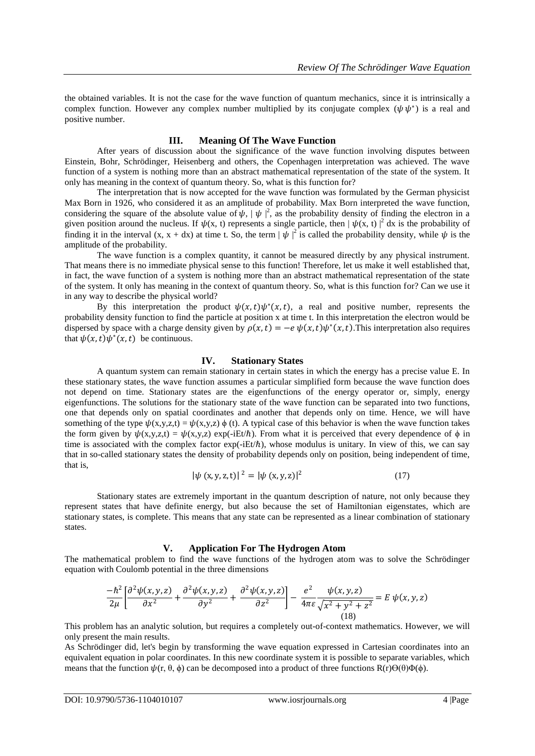the obtained variables. It is not the case for the wave function of quantum mechanics, since it is intrinsically a complex function. However any complex number multiplied by its conjugate complex  $(\psi \psi^*)$  is a real and positive number.

#### **III. Meaning Of The Wave Function**

After years of discussion about the significance of the wave function involving disputes between Einstein, Bohr, Schrödinger, Heisenberg and others, the Copenhagen interpretation was achieved. The wave function of a system is nothing more than an abstract mathematical representation of the state of the system. It only has meaning in the context of quantum theory. So, what is this function for?

The interpretation that is now accepted for the wave function was formulated by the German physicist Max Born in 1926, who considered it as an amplitude of probability. Max Born interpreted the wave function, considering the square of the absolute value of  $\psi$ ,  $|\psi|^2$ , as the probability density of finding the electron in a given position around the nucleus. If  $\psi(x, t)$  represents a single particle, then  $|\psi(x, t)|^2 dx$  is the probability of finding it in the interval  $(x, x + dx)$  at time t. So, the term  $|\psi|^2$  is called the probability density, while  $\psi$  is the amplitude of the probability.

The wave function is a complex quantity, it cannot be measured directly by any physical instrument. That means there is no immediate physical sense to this function! Therefore, let us make it well established that, in fact, the wave function of a system is nothing more than an abstract mathematical representation of the state of the system. It only has meaning in the context of quantum theory. So, what is this function for? Can we use it in any way to describe the physical world?

By this interpretation the product  $\psi(x,t)\psi^*(x,t)$ , a real and positive number, represents the probability density function to find the particle at position x at time t. In this interpretation the electron would be dispersed by space with a charge density given by  $\rho(x, t) = -e \psi(x, t) \psi^*(x, t)$ . This interpretation also requires that  $\psi(x, t)\psi^*(x, t)$  be continuous.

#### **IV. Stationary States**

A quantum system can remain stationary in certain states in which the energy has a precise value E. In these stationary states, the wave function assumes a particular simplified form because the wave function does not depend on time. Stationary states are the eigenfunctions of the energy operator or, simply, energy eigenfunctions. The solutions for the stationary state of the wave function can be separated into two functions, one that depends only on spatial coordinates and another that depends only on time. Hence, we will have something of the type  $\psi(x,y,z,t) = \psi(x,y,z) \phi(t)$ . A typical case of this behavior is when the wave function takes the form given by  $\psi(x,y,z,t) = \psi(x,y,z)$  exp(-iEt/ $\hbar$ ). From what it is perceived that every dependence of  $\phi$  in time is associated with the complex factor  $exp(-iEt/\hbar)$ , whose modulus is unitary. In view of this, we can say that in so-called stationary states the density of probability depends only on position, being independent of time, that is,

$$
|\psi(x, y, z, t)|^2 = |\psi(x, y, z)|^2
$$
 (17)

Stationary states are extremely important in the quantum description of nature, not only because they represent states that have definite energy, but also because the set of Hamiltonian eigenstates, which are stationary states, is complete. This means that any state can be represented as a linear combination of stationary states.

#### **V. Application For The Hydrogen Atom**

The mathematical problem to find the wave functions of the hydrogen atom was to solve the Schrödinger equation with Coulomb potential in the three dimensions

$$
\frac{-\hbar^2}{2\mu} \left[ \frac{\partial^2 \psi(x, y, z)}{\partial x^2} + \frac{\partial^2 \psi(x, y, z)}{\partial y^2} + \frac{\partial^2 \psi(x, y, z)}{\partial z^2} \right] - \frac{e^2}{4\pi \varepsilon} \frac{\psi(x, y, z)}{\sqrt{x^2 + y^2 + z^2}} = E \psi(x, y, z)
$$
\n(18)

This problem has an analytic solution, but requires a completely out-of-context mathematics. However, we will only present the main results.

As Schrödinger did, let's begin by transforming the wave equation expressed in Cartesian coordinates into an equivalent equation in polar coordinates. In this new coordinate system it is possible to separate variables, which means that the function  $\psi(r, \theta, \phi)$  can be decomposed into a product of three functions R(r) $\Theta(\theta)\Phi(\phi)$ .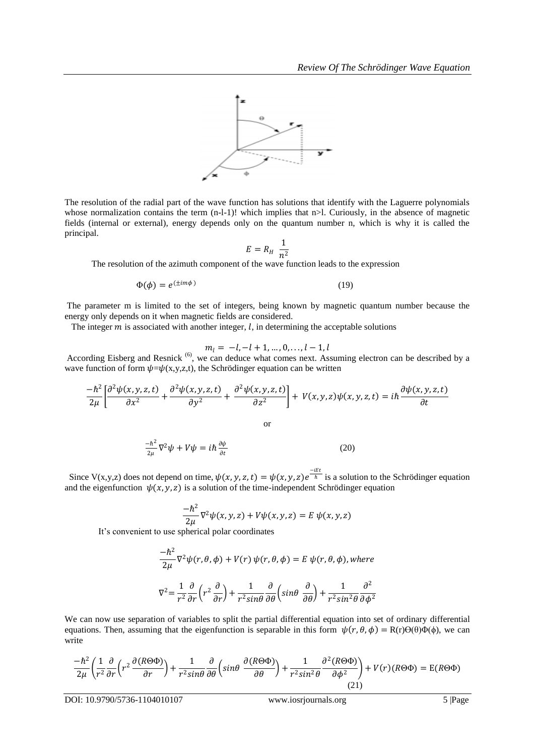

The resolution of the radial part of the wave function has solutions that identify with the Laguerre polynomials whose normalization contains the term  $(n-l-1)!$  which implies that  $n>l$ . Curiously, in the absence of magnetic fields (internal or external), energy depends only on the quantum number n, which is why it is called the principal.

$$
E = R_H \frac{1}{n^2}
$$

The resolution of the azimuth component of the wave function leads to the expression

$$
\Phi(\phi) = e^{(\pm im\phi)}\tag{19}
$$

The parameter m is limited to the set of integers, being known by magnetic quantum number because the energy only depends on it when magnetic fields are considered.

The integer  $m$  is associated with another integer,  $l$ , in determining the acceptable solutions

$$
m_l = -l, -l + 1, ..., 0, ..., l - 1, l
$$

According Eisberg and Resnick<sup>(6)</sup>, we can deduce what comes next. Assuming electron can be described by a wave function of form  $\psi = \psi(x,y,z,t)$ , the Schrödinger equation can be written

$$
\frac{-\hbar^2}{2\mu} \left[ \frac{\partial^2 \psi(x, y, z, t)}{\partial x^2} + \frac{\partial^2 \psi(x, y, z, t)}{\partial y^2} + \frac{\partial^2 \psi(x, y, z, t)}{\partial z^2} \right] + V(x, y, z) \psi(x, y, z, t) = i\hbar \frac{\partial \psi(x, y, z, t)}{\partial t}
$$

or

$$
\frac{-\hbar^2}{2\mu}\nabla^2\psi + V\psi = i\hbar\frac{\partial\psi}{\partial t}
$$
 (20)

Since V(x,y,z) does not depend on time,  $\psi(x, y, z, t) = \psi(x, y, z)e^{-iEt}$  is a solution to the Schrödinger equation and the eigenfunction  $\psi(x, y, z)$  is a solution of the time-independent Schrödinger equation

$$
\frac{-\hbar^2}{2\mu}\nabla^2\psi(x,y,z) + V\psi(x,y,z) = E \psi(x,y,z)
$$

It's convenient to use spherical polar coordinates

$$
\frac{-\hbar^2}{2\mu}\nabla^2\psi(r,\theta,\phi) + V(r)\,\psi(r,\theta,\phi) = E\,\psi(r,\theta,\phi), \text{where}
$$
\n
$$
\nabla^2 = \frac{1}{r^2}\frac{\partial}{\partial r}\left(r^2\frac{\partial}{\partial r}\right) + \frac{1}{r^2\sin\theta}\frac{\partial}{\partial \theta}\left(\sin\theta\,\frac{\partial}{\partial \theta}\right) + \frac{1}{r^2\sin^2\theta}\frac{\partial^2}{\partial \phi^2}
$$

We can now use separation of variables to split the partial differential equation into set of ordinary differential equations. Then, assuming that the eigenfunction is separable in this form  $\psi(r, \theta, \phi) = R(r)\Theta(\theta)\Phi(\phi)$ , we can write

$$
\frac{-\hbar^2}{2\mu} \left( \frac{1}{r^2} \frac{\partial}{\partial r} \left( r^2 \frac{\partial (R \Theta \Phi)}{\partial r} \right) + \frac{1}{r^2 \sin \theta} \frac{\partial}{\partial \theta} \left( \sin \theta \frac{\partial (R \Theta \Phi)}{\partial \theta} \right) + \frac{1}{r^2 \sin^2 \theta} \frac{\partial^2 (R \Theta \Phi)}{\partial \phi^2} \right) + V(r)(R \Theta \Phi) = E(R \Theta \Phi)
$$
\n(21)

DOI: 10.9790/5736-1104010107 www.iosrjournals.org 5 |Page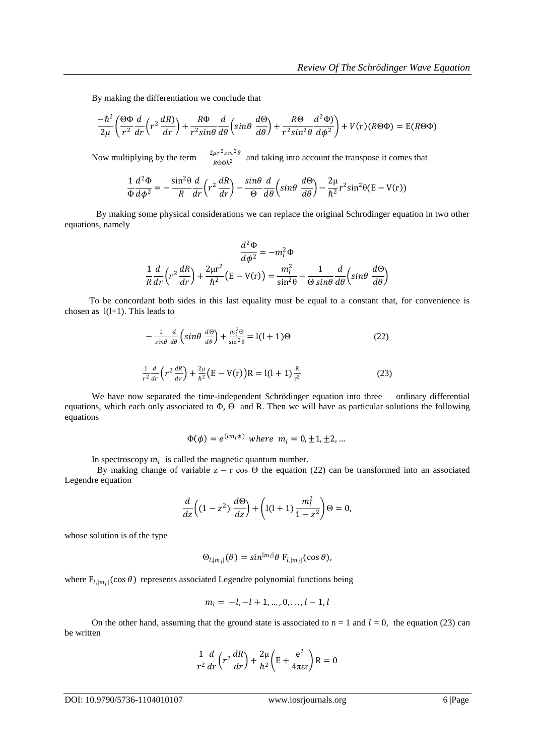By making the differentiation we conclude that

$$
\frac{-\hbar^2}{2\mu} \left( \frac{\Theta \Phi}{r^2} \frac{d}{dr} \left( r^2 \frac{dR}{dr} \right) + \frac{R\Phi}{r^2 \sin\theta} \frac{d}{d\theta} \left( \sin\theta \frac{d\Theta}{d\theta} \right) + \frac{R\Theta}{r^2 \sin^2\theta} \frac{d^2\Phi}{d\phi^2} \right) + V(r)(R\Theta\Phi) = E(R\Theta\Phi)
$$

Now multiplying by the term  $\frac{-2\mu r^2 \sin^2 \theta}{R}$  $\frac{\mu_1 \sin \theta}{R \Theta \Phi h^2}$  and taking into account the transpose it comes that

$$
\frac{1}{\Phi} \frac{d^2 \Phi}{d \phi^2} = -\frac{\sin^2 \theta}{R} \frac{d}{dr} \left( r^2 \frac{dR}{dr} \right) - \frac{\sin \theta}{\Theta} \frac{d}{d \theta} \left( \sin \theta \frac{d \Theta}{d \theta} \right) - \frac{2\mu}{\hbar^2} r^2 \sin^2 \theta (E - V(r))
$$

 By making some physical considerations we can replace the original Schrodinger equation in two other equations, namely

$$
\frac{d^2\Phi}{d\phi^2} = -m_l^2\Phi
$$

$$
\frac{1}{R}\frac{d}{dr}\left(r^2\frac{dR}{dr}\right) + \frac{2\mu r^2}{\hbar^2}\left(E - V(r)\right) = \frac{m_l^2}{\sin^2\theta} - \frac{1}{\Theta\sin\theta}\frac{d}{d\theta}\left(\sin\theta\frac{d\Theta}{d\theta}\right)
$$

 To be concordant both sides in this last equality must be equal to a constant that, for convenience is chosen as  $1(1+1)$ . This leads to

$$
-\frac{1}{\sin\theta} \frac{d}{d\theta} \left(\sin\theta \frac{d\Theta}{d\theta}\right) + \frac{m_l^2 \Theta}{\sin^2\theta} = l(l+1)\Theta
$$
 (22)

$$
\frac{1}{r^2}\frac{d}{dr}\left(r^2\frac{dR}{dr}\right) + \frac{2\mu}{\hbar^2}\left(E - V(r)\right)R = l(l+1)\frac{R}{r^2}
$$
\n(23)

We have now separated the time-independent Schrödinger equation into three ordinary differential equations, which each only associated to  $\Phi$ ,  $\Theta$  and R. Then we will have as particular solutions the following equations

$$
\Phi(\phi) = e^{(im_l\phi)}
$$
 where  $m_l = 0, \pm 1, \pm 2, ...$ 

In spectroscopy  $m_l$  is called the magnetic quantum number.

By making change of variable  $z = r \cos \theta$  the equation (22) can be transformed into an associated Legendre equation

$$
\frac{d}{dz}\left((1-z^2)\frac{d\Theta}{dz}\right) + \left(1(1+1)\frac{m_l^2}{1-z^2}\right)\Theta = 0,
$$

whose solution is of the type

$$
\Theta_{l,|m_l|}(\theta) = \sin^{|m_l|}\theta \mathbf{F}_{l,|m_l|}(\cos\theta),
$$

where  $F_{l, |m_l|}(\cos \theta)$  represents associated Legendre polynomial functions being

$$
m_l = -l, -l + 1, \ldots, 0, \ldots, l - 1, l
$$

On the other hand, assuming that the ground state is associated to  $n = 1$  and  $l = 0$ , the equation (23) can be written

$$
\frac{1}{r^2}\frac{d}{dr}\left(r^2\frac{dR}{dr}\right) + \frac{2\mu}{\hbar^2}\left(E + \frac{e^2}{4\pi\epsilon r}\right)R = 0
$$